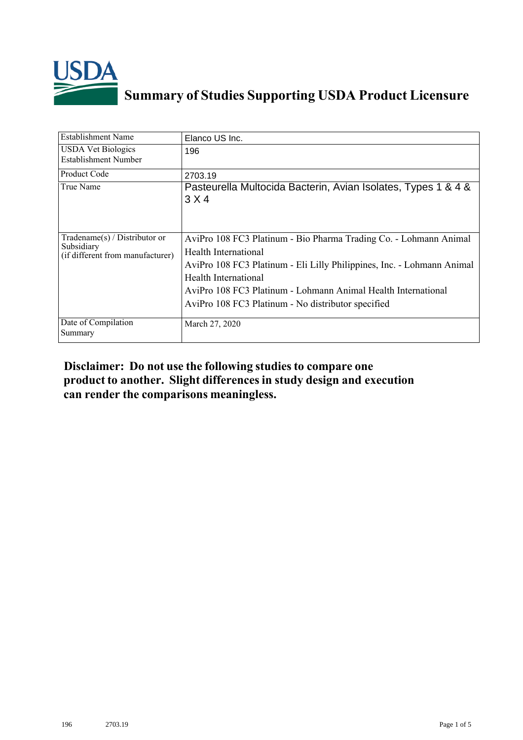

## **Summary of Studies Supporting USDA Product Licensure**

| <b>Establishment Name</b>                                                       | Elanco US Inc.                                                                                                                                                                                                                                                                                                     |
|---------------------------------------------------------------------------------|--------------------------------------------------------------------------------------------------------------------------------------------------------------------------------------------------------------------------------------------------------------------------------------------------------------------|
| <b>USDA Vet Biologics</b><br>Establishment Number                               | 196                                                                                                                                                                                                                                                                                                                |
| Product Code                                                                    | 2703.19                                                                                                                                                                                                                                                                                                            |
| True Name                                                                       | Pasteurella Multocida Bacterin, Avian Isolates, Types 1 & 4 &<br>3 X 4                                                                                                                                                                                                                                             |
| Tradename(s) / Distributor or<br>Subsidiary<br>(if different from manufacturer) | AviPro 108 FC3 Platinum - Bio Pharma Trading Co. - Lohmann Animal<br>Health International<br>AviPro 108 FC3 Platinum - Eli Lilly Philippines, Inc. - Lohmann Animal<br>Health International<br>AviPro 108 FC3 Platinum - Lohmann Animal Health International<br>AviPro 108 FC3 Platinum - No distributor specified |
| Date of Compilation<br>Summary                                                  | March 27, 2020                                                                                                                                                                                                                                                                                                     |

## **Disclaimer: Do not use the following studiesto compare one product to another. Slight differencesin study design and execution can render the comparisons meaningless.**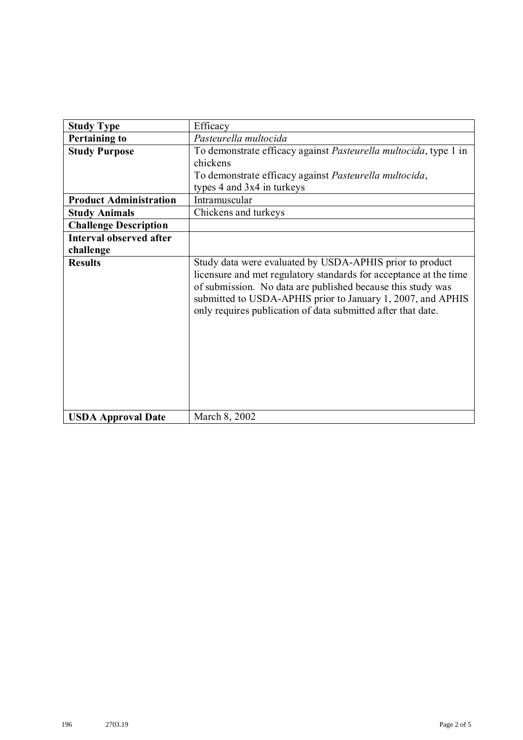| <b>Study Type</b>              | Efficacy                                                                                                                                                                                                                                                                                                                    |
|--------------------------------|-----------------------------------------------------------------------------------------------------------------------------------------------------------------------------------------------------------------------------------------------------------------------------------------------------------------------------|
| <b>Pertaining to</b>           | Pasteurella multocida                                                                                                                                                                                                                                                                                                       |
| <b>Study Purpose</b>           | To demonstrate efficacy against Pasteurella multocida, type 1 in                                                                                                                                                                                                                                                            |
|                                | chickens                                                                                                                                                                                                                                                                                                                    |
|                                | To demonstrate efficacy against Pasteurella multocida,                                                                                                                                                                                                                                                                      |
|                                | types 4 and 3x4 in turkeys                                                                                                                                                                                                                                                                                                  |
| <b>Product Administration</b>  | Intramuscular                                                                                                                                                                                                                                                                                                               |
| <b>Study Animals</b>           | Chickens and turkeys                                                                                                                                                                                                                                                                                                        |
| <b>Challenge Description</b>   |                                                                                                                                                                                                                                                                                                                             |
| <b>Interval observed after</b> |                                                                                                                                                                                                                                                                                                                             |
| challenge                      |                                                                                                                                                                                                                                                                                                                             |
| <b>Results</b>                 | Study data were evaluated by USDA-APHIS prior to product<br>licensure and met regulatory standards for acceptance at the time<br>of submission. No data are published because this study was<br>submitted to USDA-APHIS prior to January 1, 2007, and APHIS<br>only requires publication of data submitted after that date. |
| <b>USDA Approval Date</b>      | March 8, 2002                                                                                                                                                                                                                                                                                                               |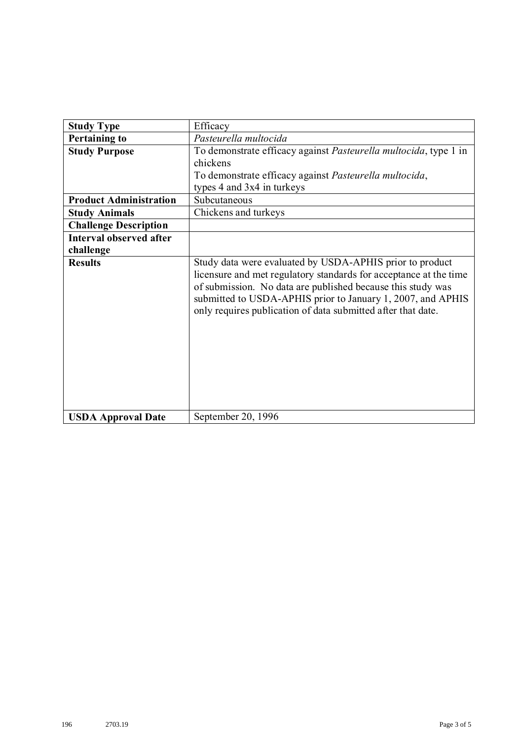| <b>Study Type</b>              | Efficacy                                                                                                                                                                                                                                                                                                                    |
|--------------------------------|-----------------------------------------------------------------------------------------------------------------------------------------------------------------------------------------------------------------------------------------------------------------------------------------------------------------------------|
| <b>Pertaining to</b>           | Pasteurella multocida                                                                                                                                                                                                                                                                                                       |
| <b>Study Purpose</b>           | To demonstrate efficacy against Pasteurella multocida, type 1 in                                                                                                                                                                                                                                                            |
|                                | chickens                                                                                                                                                                                                                                                                                                                    |
|                                | To demonstrate efficacy against Pasteurella multocida,                                                                                                                                                                                                                                                                      |
|                                | types 4 and 3x4 in turkeys                                                                                                                                                                                                                                                                                                  |
| <b>Product Administration</b>  | Subcutaneous                                                                                                                                                                                                                                                                                                                |
| <b>Study Animals</b>           | Chickens and turkeys                                                                                                                                                                                                                                                                                                        |
| <b>Challenge Description</b>   |                                                                                                                                                                                                                                                                                                                             |
| <b>Interval observed after</b> |                                                                                                                                                                                                                                                                                                                             |
| challenge                      |                                                                                                                                                                                                                                                                                                                             |
| <b>Results</b>                 | Study data were evaluated by USDA-APHIS prior to product<br>licensure and met regulatory standards for acceptance at the time<br>of submission. No data are published because this study was<br>submitted to USDA-APHIS prior to January 1, 2007, and APHIS<br>only requires publication of data submitted after that date. |
| <b>USDA Approval Date</b>      | September 20, 1996                                                                                                                                                                                                                                                                                                          |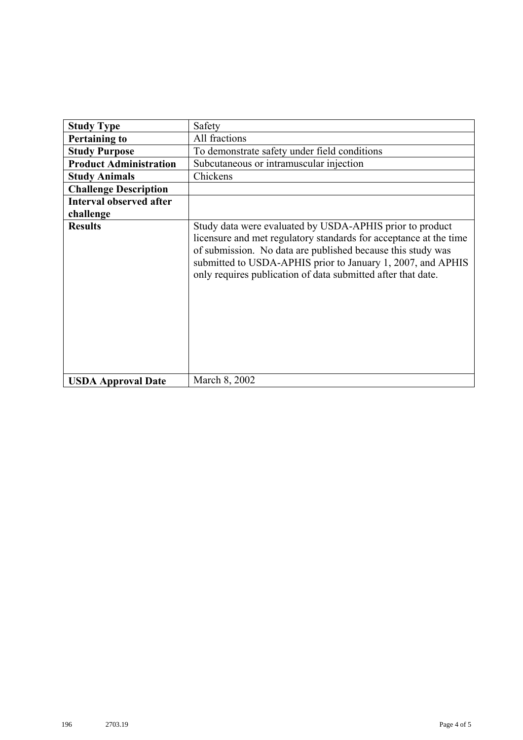| <b>Study Type</b>              | Safety                                                                                                                                                                                                                                                                                                                      |
|--------------------------------|-----------------------------------------------------------------------------------------------------------------------------------------------------------------------------------------------------------------------------------------------------------------------------------------------------------------------------|
| <b>Pertaining to</b>           | All fractions                                                                                                                                                                                                                                                                                                               |
| <b>Study Purpose</b>           | To demonstrate safety under field conditions                                                                                                                                                                                                                                                                                |
| <b>Product Administration</b>  | Subcutaneous or intramuscular injection                                                                                                                                                                                                                                                                                     |
| <b>Study Animals</b>           | Chickens                                                                                                                                                                                                                                                                                                                    |
| <b>Challenge Description</b>   |                                                                                                                                                                                                                                                                                                                             |
| <b>Interval observed after</b> |                                                                                                                                                                                                                                                                                                                             |
| challenge                      |                                                                                                                                                                                                                                                                                                                             |
| <b>Results</b>                 | Study data were evaluated by USDA-APHIS prior to product<br>licensure and met regulatory standards for acceptance at the time<br>of submission. No data are published because this study was<br>submitted to USDA-APHIS prior to January 1, 2007, and APHIS<br>only requires publication of data submitted after that date. |
| <b>USDA Approval Date</b>      | March 8, 2002                                                                                                                                                                                                                                                                                                               |